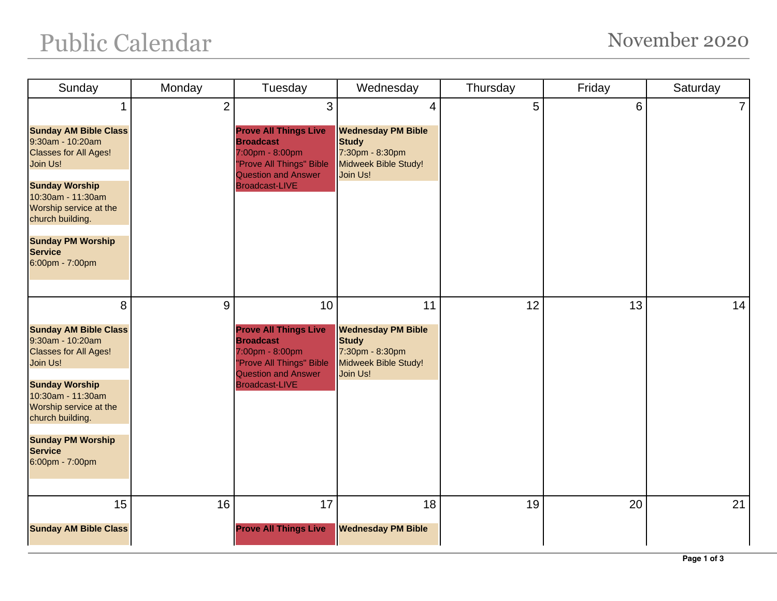| Sunday                                                                                                                                                                                                                                                         | Monday         | Tuesday                                                                                                                                                      | Wednesday                                                                                                          | Thursday | Friday | Saturday       |
|----------------------------------------------------------------------------------------------------------------------------------------------------------------------------------------------------------------------------------------------------------------|----------------|--------------------------------------------------------------------------------------------------------------------------------------------------------------|--------------------------------------------------------------------------------------------------------------------|----------|--------|----------------|
| 1<br><b>Sunday AM Bible Class</b><br>9:30am - 10:20am<br><b>Classes for All Ages!</b><br>Join Us!<br><b>Sunday Worship</b><br>10:30am - 11:30am<br>Worship service at the<br>church building.<br><b>Sunday PM Worship</b><br><b>Service</b><br>6:00pm - 7:00pm | $\overline{2}$ | 3<br><b>Prove All Things Live</b><br><b>Broadcast</b><br>7:00pm - 8:00pm<br>"Prove All Things" Bible<br><b>Question and Answer</b><br><b>Broadcast-LIVE</b>  | $\overline{4}$<br><b>Wednesday PM Bible</b><br><b>Study</b><br>7:30pm - 8:30pm<br>Midweek Bible Study!<br>Join Us! | 5        | 6      | $\overline{7}$ |
| 8<br><b>Sunday AM Bible Class</b><br>9:30am - 10:20am<br><b>Classes for All Ages!</b><br>Join Us!<br><b>Sunday Worship</b><br>10:30am - 11:30am<br>Worship service at the<br>church building.<br><b>Sunday PM Worship</b><br><b>Service</b><br>6:00pm - 7:00pm | 9              | 10<br><b>Prove All Things Live</b><br><b>Broadcast</b><br>7:00pm - 8:00pm<br>"Prove All Things" Bible<br><b>Question and Answer</b><br><b>Broadcast-LIVE</b> | 11<br><b>Wednesday PM Bible</b><br><b>Study</b><br>7:30pm - 8:30pm<br>Midweek Bible Study!<br>Join Us!             | 12       | 13     | 14             |
| 15<br><b>Sunday AM Bible Class</b>                                                                                                                                                                                                                             | 16             | 17<br><b>Prove All Things Live</b>                                                                                                                           | 18<br><b>Wednesday PM Bible</b>                                                                                    | 19       | 20     | 21             |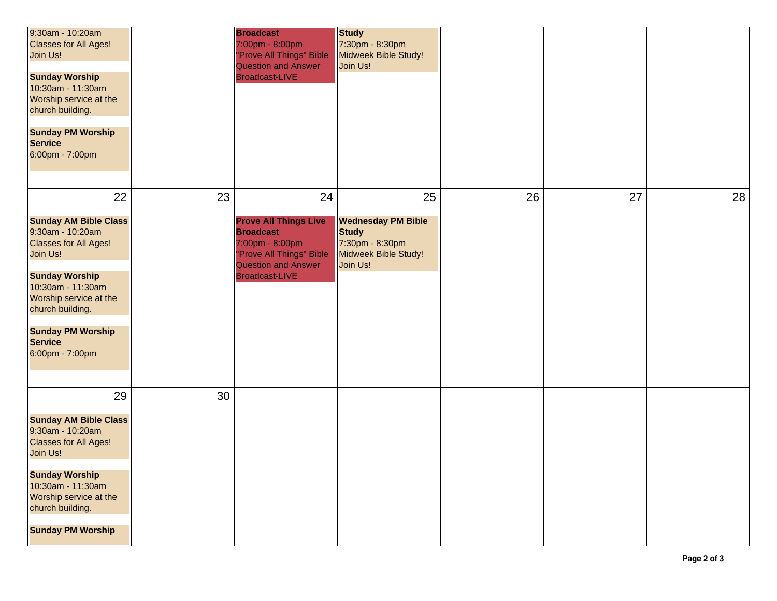| 9:30am - 10:20am<br><b>Classes for All Ages!</b><br>Join Us!<br><b>Sunday Worship</b><br>10:30am - 11:30am<br>Worship service at the<br>church building.<br><b>Sunday PM Worship</b><br><b>Service</b><br>6:00pm - 7:00pm                                 |    | <b>Broadcast</b><br>7:00pm - 8:00pm<br>"Prove All Things" Bible<br><b>Question and Answer</b><br><b>Broadcast-LIVE</b>                                 | <b>Study</b><br>7:30pm - 8:30pm<br>Midweek Bible Study!<br>Join Us!                              |    |    |    |
|-----------------------------------------------------------------------------------------------------------------------------------------------------------------------------------------------------------------------------------------------------------|----|--------------------------------------------------------------------------------------------------------------------------------------------------------|--------------------------------------------------------------------------------------------------|----|----|----|
| 22                                                                                                                                                                                                                                                        | 23 | 24                                                                                                                                                     | 25                                                                                               | 26 | 27 | 28 |
| <b>Sunday AM Bible Class</b><br>9:30am - 10:20am<br><b>Classes for All Ages!</b><br>Join Us!<br><b>Sunday Worship</b><br>10:30am - 11:30am<br>Worship service at the<br>church building.<br><b>Sunday PM Worship</b><br><b>Service</b><br>6:00pm - 7:00pm |    | <b>Prove All Things Live</b><br><b>Broadcast</b><br>7:00pm - 8:00pm<br>"Prove All Things" Bible<br><b>Question and Answer</b><br><b>Broadcast-LIVE</b> | <b>Wednesday PM Bible</b><br><b>Study</b><br>7:30pm - 8:30pm<br>Midweek Bible Study!<br>Join Us! |    |    |    |
| 29                                                                                                                                                                                                                                                        | 30 |                                                                                                                                                        |                                                                                                  |    |    |    |
| <b>Sunday AM Bible Class</b><br>9:30am - 10:20am<br><b>Classes for All Ages!</b><br>Join Us!<br><b>Sunday Worship</b>                                                                                                                                     |    |                                                                                                                                                        |                                                                                                  |    |    |    |
| 10:30am - 11:30am<br>Worship service at the<br>church building.<br><b>Sunday PM Worship</b>                                                                                                                                                               |    |                                                                                                                                                        |                                                                                                  |    |    |    |